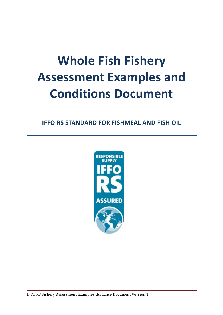# **Whole Fish Fishery Assessment Examples and Conditions Document**

## **IFFO RS STANDARD FOR FISHMEAL AND FISH OIL**

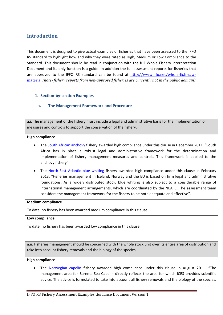## **Introduction**

This document is designed to give actual examples of fisheries that have been assessed to the IFFO RS standard to highlight how and why they were rated as High, Medium or Low Compliance to the Standard. This document should be read in conjunction with the full Whole Fishery Interpretation Document and its only function is a guide. In addition the full assessment reports for fisheries that are approved to the IFFO RS standard can be found at http://www.iffo.net/whole-fish-rawmateria. *(note‐ fishery reports from non‐approved fisheries are currently not in the public domain)*

## **1. Section‐by‐section Examples**

## **a. The Management Framework and Procedure**

a.i. The management of the fishery must include a legal and administrative basis for the implementation of measures and controls to support the conservation of the fishery.

## **High compliance**

- The South African anchovy fishery awarded high compliance under this clause in December 2011. "South Africa has in place a robust legal and administrative framework for the determination and implementation of fishery management measures and controls. This framework is applied to the anchovy fishery"
- The North-East Atlantic blue whiting fishery awarded high compliance under this clause in February 2013. "Fisheries management in Iceland, Norway and the EU is based on firm legal and administrative foundations. As a widely distributed stock, blue whiting is also subject to a considerable range of international management arrangements, which are coordinated by the NEAFC. The assessment team considers the management framework for the fishery to be both adequate and effective".

## **Medium compliance**

To date, no fishery has been awarded medium compliance in this clause.

## **Low compliance**

To date, no fishery has been awarded low compliance in this clause.

a.ii. Fisheries management should be concerned with the whole stock unit over its entire area of distribution and take into account fishery removals and the biology of the species

## **High compliance**

 The Norwegian capelin fishery awarded high compliance under this clause in August 2011. "The management area for Barents Sea Capelin directly reflects the area for which ICES provides scientific advice. The advice is formulated to take into account all fishery removals and the biology of the species,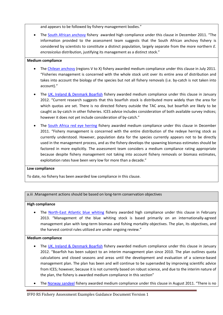and appears to be followed by fishery management bodies."

• The South African anchovy fishery awarded high compliance under this clause in December 2011. "The information provided to the assessment team suggests that the South African anchovy fishery is considered by scientists to constitute a distinct population, largely separate from the more northern *E. encrasicolus* distribution, justifying its management as a distinct stock."

## **Medium compliance**

- The Chilean anchovy (regions V to X) fishery awarded medium compliance under this clause in July 2011. "Fisheries management is concerned with the whole stock unit over its entire area of distribution and takes into account the biology of the species but not all fishery removals (i.e. by‐catch is not taken into account)."
- The UK, Ireland & Denmark Boarfish fishery awarded medium compliance under this clause in January 2012. "Current research suggests that this boarfish stock is distributed more widely than the area for which quotas are set. There is no directed fishery outside the TAC area, but boarfish are likely to be caught as by‐catch in other fisheries. ICES advice includes consideration of both available survey indices; however it does not yet include consideration of by-catch."
- The South Africa red eye herring fishery awarded medium compliance under this clause in December 2011. "Fishery management is concerned with the entire distribution of the redeye herring stock as currently understood. However, population data for the species currently appears not to be directly used in the management process, and as the fishery develops the spawning biomass estimates should be factored in more explicitly. The assessment team considers a medium compliance rating appropriate because despite fishery management not taking into account fishery removals or biomass estimates, exploitation rates have been very low for more than a decade."

## **Low compliance**

To date, no fishery has been awarded low compliance in this clause.

a.iii .Management actions should be based on long‐term conservation objectives

## **High compliance**

The North-East Atlantic blue whiting fishery awarded high compliance under this clause in February 2013. "Management of the blue whiting stock is based primarily on an internationally-agreed management plan with long‐term biomass and fishing mortality objectives. The plan, its objectives, and the harvest control rules utilized are under ongoing review."

## **Medium compliance**

- The UK, Ireland & Denmark Boarfish fishery awarded medium compliance under this clause in January 2012. "Boarfish has been subject to an interim management plan since 2010. The plan outlines quota calculations and closed seasons and areas until the development and evaluation of a science‐based management plan. The plan has been and will continue to be superseded by improving scientific advice from ICES; however, because it is not currently based on robust science, and due to the interim nature of the plan, the fishery is awarded medium compliance in this section"
- The Norway sandeel fishery awarded medium compliance under this clause in August 2011. "There is no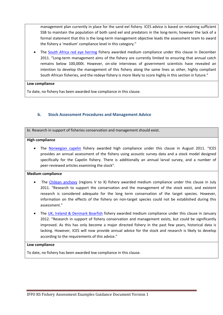management plan currently in place for the sand eel fishery. ICES advice is based on retaining sufficient SSB to maintain the population of both sand eel and predators in the long-term; however the lack of a formal statement that this is the long-term management objective leads the assessment team to award the fishery a 'medium' compliance level in this category."

 The South Africa red eye herring fishery awarded medium compliance under this clause in December 2011. "Long-term management aims of the fishery are currently limited to ensuring that annual catch remains below 100,000t. However, on‐site interviews of government scientists have revealed an intention to develop the management of this fishery along the same lines as other, highly compliant South African fisheries, and the redeye fishery is more likely to score highly in this section in future."

## **Low compliance**

To date, no fishery has been awarded low compliance in this clause.

## **b. Stock Assessment Procedures and Management Advice**

bi. Research in support of fisheries conservation and management should exist.

## **High compliance**

The Norwegian capelin fishery awarded high compliance under this clause in August 2011. "ICES provides an annual assessment of the fishery using acoustic survey data and a stock model designed specifically for the Capelin fishery. There is additionally an annual larval survey, and a number of peer-reviewed articles examining the stock".

## **Medium compliance**

- The Chilean anchovy (regions V to X) fishery awarded medium compliance under this clause in July 2011. "Research to support the conservation and the management of the stock exist, and existent research is considered adequate for the long term conservation of the target species. However, information on the effects of the fishery on non-target species could not be established during this assessment."
- The UK, Ireland & Denmark Boarfish fishery awarded medium compliance under this clause in January 2012. "Research in support of fishery conservation and management exists, but could be significantly improved. As this has only become a major directed fishery in the past few years, historical data is lacking. However, ICES will now provide annual advice for the stock and research is likely to develop according to the requirements of this advice."

## **Low compliance**

To date, no fishery has been awarded low compliance in this clause.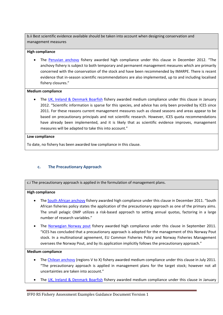b.ii Best scientific evidence available should be taken into account when designing conservation and management measures

## **High compliance**

 The Peruvian anchovy fishery awarded high compliance under this clause in December 2012. "The anchovy fishery is subject to both temporary and permanent management measures which are primarily concerned with the conservation of the stock and have been recommended by IMARPE. There is recent evidence that in‐season scientific recommendations are also implemented, up to and including localised fishery closures."

## **Medium compliance**

• The UK, Ireland & Denmark Boarfish fishery awarded medium compliance under this clause in January 2012. "Scientific information is sparse for this species, and advice has only been provided by ICES since 2011. For these reasons current management measures such as closed seasons and areas appear to be based on precautionary principals and not scientific research. However, ICES quota recommendations have already been implemented, and it is likely that as scientific evidence improves, management measures will be adapted to take this into account."

## **Low compliance**

To date, no fishery has been awarded low compliance in this clause.

## **c. The Precautionary Approach**

c.i The precautionary approach is applied in the formulation of management plans.

## **High compliance**

- The South African anchovy fishery awarded high compliance under this clause in December 2011. "South African fisheries policy states the application of the precautionary approach as one of the primary aims. The small pelagic OMP utilizes a risk-based approach to setting annual quotas, factoring in a large number of research variables."
- The Norwegian Norway pout fishery awarded high compliance under this clause in September 2011. "ICES has concluded that a precautionary approach is adopted for the management of this Norway Pout stock. In a multinational agreement, EU Common Fisheries Policy and Norway Fisheries Management oversees the Norway Pout, and by its application implicitly follows the precautionary approach."

## **Medium compliance**

- The Chilean anchovy (regions V to X) fishery awarded medium compliance under this clause in July 2011. "The precautionary approach is applied in management plans for the target stock; however not all uncertainties are taken into account."
- The UK, Ireland & Denmark Boarfish fishery awarded medium compliance under this clause in January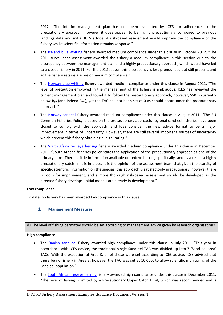2012. "The interim management plan has not been evaluated by ICES for adherence to the precautionary approach; however it does appear to be highly precautionary compared to previous landings data and initial ICES advice. A risk‐based assessment would improve the compliance of the fishery whilst scientific information remains so sparse."

- The Iceland blue whiting fishery awarded medium compliance under this clause in October 2012. "The 2011 surveillance assessment awarded the fishery a medium compliance in this section due to the discrepancy between the management plan and a highly precautionary approach, which would have led to a closed fishery in 2011. For the 2012 season this discrepancy is less pronounced but still present, and so the fishery retains a score of medium compliance."
- The Norway blue whiting fishery awarded medium compliance under this clause in August 2011. "The level of precaution employed in the management of the fishery is ambiguous. ICES has reviewed the current management plan and found it to follow the precautionary approach; however, SSB is currently below  $B_{pa}$  (and indeed  $B_{lim}$ ), yet the TAC has not been set at 0 as should occur under the precautionary approach."
- The Norway sandeel fishery awarded medium compliance under this clause in August 2011. "The EU Common Fisheries Policy is based on the precautionary approach, regional sand eel fisheries have been closed to comply with the approach, and ICES consider the new advice format to be a major improvement in terms of uncertainty. However, there are still several important sources of uncertainty which prevent this fishery obtaining a 'high' rating."
- The South Africa red eye herring fishery awarded medium compliance under this clause in December 2011. "South African fisheries policy states the application of the precautionary approach as one of the primary aims. There is little information available on redeye herring specifically, and as a result a highly precautionary catch limit is in place. It is the opinion of the assessment team that given the scarcity of specific scientific information on the species, this approach is satisfactorily precautionary; however there is room for improvement, and a more thorough risk‐based assessment should be developed as the directed fishery develops. Initial models are already in development."

## **Low compliance**

To date, no fishery has been awarded low compliance in this clause.

## **d. Management Measures**

d.i The level of fishing permitted should be set according to management advice given by research organisations.

## **High compliance**

- The Danish sand eel fishery awarded high compliance under this clause in July 2011. "This year in accordance with ICES advice, the traditional single Sand eel TAC was divided up into 7 'Sand eel area' TACs. With the exception of Area 3, all of these were set according to ICES advice. ICES advised that there be no fishery in Area 3; however the TAC was set at 10,000t to allow scientific monitoring of the Sand eel population."
- The South African redeye herring fishery awarded high compliance under this clause in December 2011. "The level of fishing is limited by a Precautionary Upper Catch Limit, which was recommended and is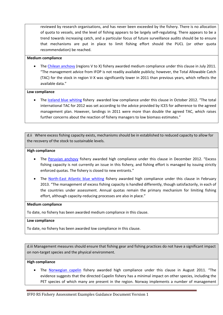reviewed by research organisations, and has never been exceeded by the fishery. There is no allocation of quota to vessels, and the level of fishing appears to be largely self‐regulating. There appears to be a trend towards increasing catch, and a particular focus of future surveillance audits should be to ensure that mechanisms are put in place to limit fishing effort should the PUCL (or other quota recommendation) be reached.

## **Medium compliance**

• The Chilean anchovy (regions V to X) fishery awarded medium compliance under this clause in July 2011. "The management advice from IFOP is not readily available publicly; however, the Total Allowable Catch (TAC) for the stock in region V‐X was significantly lower in 2011 than previous years, which reflects the available data."

## **Low compliance**

• The Iceland blue whiting fishery awarded low compliance under this clause in October 2012. "The total international TAC for 2012 was set according to the advice provided by ICES for adherence to the agreed management plan. However, landings in 2011 were more than double the agreed TAC, which raises further concerns about the reaction of fishery managers to low biomass estimates."

d.ii Where excess fishing capacity exists, mechanisms should be in established to reduced capacity to allow for the recovery of the stock to sustainable levels.

### **High compliance**

- The Peruvian anchovy fishery awarded high compliance under this clause in December 2012. "Excess fishing capacity is not currently an issue in this fishery, and fishing effort is managed by issuing strictly enforced quotas. The fishery is closed to new entrants."
- The North-East Atlantic blue whiting fishery awarded high compliance under this clause in February 2013. "The management of excess fishing capacity is handled differently, though satisfactorily, in each of the countries under assessment. Annual quotas remain the primary mechanism for limiting fishing effort, although capacity-reducing processes are also in place."

#### **Medium compliance**

To date, no fishery has been awarded medium compliance in this clause.

## **Low compliance**

To date, no fishery has been awarded low compliance in this clause.

d.iii Management measures should ensure that fishing gear and fishing practices do not have a significant impact on non‐target species and the physical environment.

## **High compliance**

 The Norwegian capelin fishery awarded high compliance under this clause in August 2011. "The evidence suggests that the directed Capelin fishery has a minimal impact on other species, including the PET species of which many are present in the region. Norway implements a number of management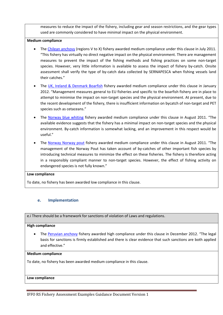measures to reduce the impact of the fishery, including gear and season restrictions, and the gear types used are commonly considered to have minimal impact on the physical environment.

## **Medium compliance**

- The Chilean anchovy (regions V to X) fishery awarded medium compliance under this clause in July 2011. "This fishery has virtually no direct negative impact on the physical environment. There are management measures to prevent the impact of the fishing methods and fishing practices on some non-target species. However, very little information is available to assess the impact of fishery by-catch. Onsite assessment shall verify the type of by-catch data collected by SERNAPESCA when fishing vessels land their catches."
- The UK, Ireland & Denmark Boarfish fishery awarded medium compliance under this clause in January 2012. "Management measures general to EU fisheries and specific to the boarfish fishery are in place to attempt to minimise the impact on non-target species and the physical environment. At present, due to the recent development of the fishery, there is insufficient information on bycatch of non‐target and PET species such as cetaceans."
- The Norway blue whiting fishery awarded medium compliance under this clause in August 2011. "The available evidence suggests that the fishery has a minimal impact on non-target species and the physical environment. By-catch information is somewhat lacking, and an improvement in this respect would be useful."
- The Norway Norway pout fishery awarded medium compliance under this clause in August 2011. "The management of the Norway Pout has taken account of by‐catches of other important fish species by introducing technical measures to minimize the effect on these fisheries. The fishery is therefore acting in a responsibly compliant manner to non-target species. However, the effect of fishing activity on endangered species is not fully known."

## **Low compliance**

To date, no fishery has been awarded low compliance in this clause.

## **e. Implementation**

e.i There should be a framework for sanctions of violation of Laws and regulations.

## **High compliance**

 The Peruvian anchovy fishery awarded high compliance under this clause in December 2012. "The legal basis for sanctions is firmly established and there is clear evidence that such sanctions are both applied and effective."

#### **Medium compliance**

To date, no fishery has been awarded medium compliance in this clause.

## **Low compliance**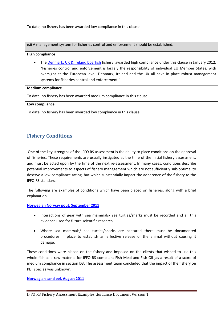To date, no fishery has been awarded low compliance in this clause.

e.ii A management system for fisheries control and enforcement should be established.

### **High compliance**

• The Denmark, UK & Ireland boarfish fishery awarded high compliance under this clause in January 2012. "Fisheries control and enforcement is largely the responsibility of individual EU Member States, with oversight at the European level. Denmark, Ireland and the UK all have in place robust management systems for fisheries control and enforcement."

### **Medium compliance**

To date, no fishery has been awarded medium compliance in this clause.

### **Low compliance**

To date, no fishery has been awarded low compliance in this clause.

## **Fishery Conditions**

One of the key strengths of the IFFO RS assessment is the ability to place conditions on the approval of fisheries. These requirements are usually instigated at the time of the initial fishery assessment, and must be acted upon by the time of the next re-assessment. In many cases, conditions describe potential improvements to aspects of fishery management which are not sufficiently sub-optimal to deserve a low compliance rating, but which substantially impact the adherence of the fishery to the IFFO RS standard.

The following are examples of conditions which have been placed on fisheries, along with a brief explanation.

**Norwegian Norway pout, September 2011**

- Interactions of gear with sea mammals/ sea turtles/sharks must be recorded and all this evidence used for future scientific research.
- Where sea mammals/ sea turtles/sharks are captured there must be documented procedures in place to establish an effective release of the animal without causing it damage.

These conditions were placed on the fishery and imposed on the clients that wished to use this whole fish as a raw material for IFFO RS compliant Fish Meal and Fish Oil , as a result of a score of medium compliance in section D3. The assessment team concluded that the impact of the fishery on PET species was unknown.

## **Norwegian sand eel, August 2011**